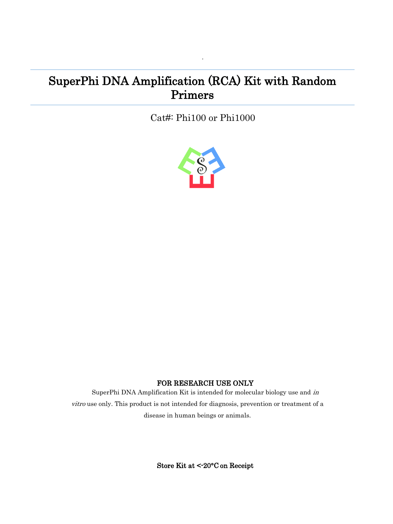# SuperPhi DNA Amplification (RCA) Kit with Random Primers

Cat#: Phi100 or Phi1000

·



# FOR RESEARCH USE ONLY

SuperPhi DNA Amplification Kit is intended for molecular biology use and in vitro use only. This product is not intended for diagnosis, prevention or treatment of a disease in human beings or animals.

Store Kit at <-20°C on Receipt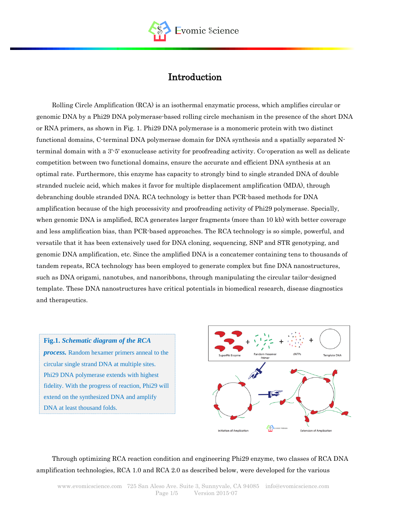

# Introduction

Rolling Circle Amplification (RCA) is an isothermal enzymatic process, which amplifies circular or genomic DNA by a Phi29 DNA polymerase-based rolling circle mechanism in the presence of the short DNA or RNA primers, as shown in Fig. 1. Phi29 DNA polymerase is a monomeric protein with two distinct functional domains, C-terminal DNA polymerase domain for DNA synthesis and a spatially separated Nterminal domain with a 3'-5' [exonuclease](https://en.wikipedia.org/wiki/Exonuclease) activity for proofreading activity. Co-operation as well as delicate competition between two functional domains, ensure the accurate and efficient DNA synthesis at an optimal rate. Furthermore, this enzyme has capacity to strongly bind to single stranded DNA of double stranded nucleic acid, which makes it favor for [multiple displacement amplification](https://en.wikipedia.org/wiki/Multiple_Displacement_Amplification) (MDA), through debranching double stranded DNA. RCA technology is better than PCR-based methods for DNA amplification because of the high processivity and proofreading activity of Phi29 polymerase. Specially, when genomic DNA is amplified, RCA generates larger fragments (more than 10 kb) with better coverage and less amplification bias, than PCR-based approaches. The RCA technology is so simple, powerful, and versatile that it has been extensively used for DNA cloning, sequencing, SNP and STR genotyping, and genomic DNA amplification, etc. Since the amplified DNA is a concatemer containing tens to thousands of tandem repeats, RCA technology has been employed to generate complex but fine DNA nanostructures, such as DNA origami, nanotubes, and nanoribbons, through manipulating the circular tailor-designed template. These DNA nanostructures have critical potentials in biomedical research, disease diagnostics and therapeutics.

**Fig.1.** *Schematic diagram of the RCA process.* Random hexamer primers anneal to the circular single strand DNA at multiple sites. Phi29 DNA polymerase extends with highest fidelity. With the progress of reaction, Phi29 will extend on the synthesized DNA and amplify DNA at least thousand folds.



Through optimizing RCA reaction condition and engineering Phi29 enzyme, two classes of RCA DNA amplification technologies, RCA 1.0 and RCA 2.0 as described below, were developed for the various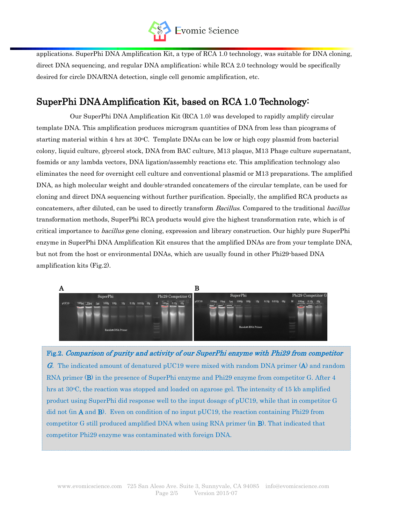

applications. SuperPhi DNA Amplification Kit, a type of RCA 1.0 technology, was suitable for DNA cloning, direct DNA sequencing, and regular DNA amplification; while RCA 2.0 technology would be specifically desired for circle DNA/RNA detection, single cell genomic amplification, etc.

# SuperPhi DNA Amplification Kit, based on RCA 1.0 Technology:

Our SuperPhi DNA Amplification Kit (RCA 1.0) was developed to rapidly amplify circular template DNA. This amplification produces microgram quantities of DNA from less than picograms of starting material within 4 hrs at 30oC. Template DNAs can be low or high copy plasmid from bacterial colony, liquid culture, glycerol stock, DNA from BAC culture, M13 plaque, M13 Phage culture supernatant, fosmids or any lambda vectors, DNA ligation/assembly reactions etc. This amplification technology also eliminates the need for overnight cell culture and conventional plasmid or M13 preparations. The amplified DNA, as high molecular weight and double-stranded concatemers of the circular template, can be used for cloning and direct DNA sequencing without further purification. Specially, the amplified RCA products as concatemers, after diluted, can be used to directly transform Bacillus. Compared to the traditional bacillus transformation methods, SuperPhi RCA products would give the highest transformation rate, which is of critical importance to *bacillus* gene cloning, expression and library construction. Our highly pure SuperPhi enzyme in SuperPhi DNA Amplification Kit ensures that the amplified DNAs are from your template DNA, but not from the host or environmental DNAs, which are usually found in other Phi29-based DNA amplification kits (Fig.2).



Fig.2. Comparison of purity and activity of our SuperPhi enzyme with Phi29 from competitor G. The indicated amount of denatured pUC19 were mixed with random DNA primer  $(A)$  and random RNA primer (B) in the presence of SuperPhi enzyme and Phi29 enzyme from competitor G. After 4 hrs at  $30^{\circ}$ C, the reaction was stopped and loaded on agarose gel. The intensity of 15 kb amplified product using SuperPhi did response well to the input dosage of pUC19, while that in competitor G did not (in  $A$  and  $B$ ). Even on condition of no input pUC19, the reaction containing Phi29 from competitor G still produced amplified DNA when using RNA primer (in B). That indicated that competitor Phi29 enzyme was contaminated with foreign DNA.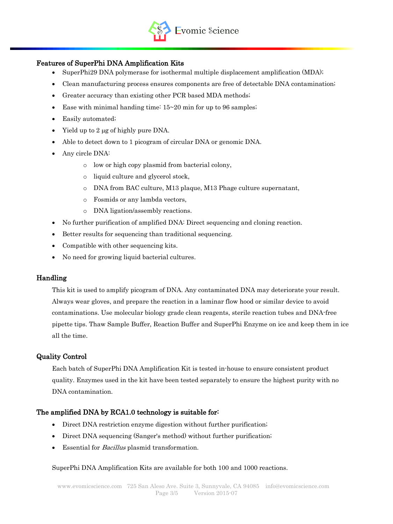

## Features of SuperPhi DNA Amplification Kits

- SuperPhi29 DNA polymerase for isothermal multiple displacement amplification (MDA);
- Clean manufacturing process ensures components are free of detectable DNA contamination;
- Greater accuracy than existing other PCR based MDA methods;
- Ease with minimal handing time:  $15-20$  min for up to 96 samples;
- Easily automated;
- Yield up to 2 µg of highly pure DNA.
- Able to detect down to 1 picogram of circular DNA or genomic DNA.
- Any circle DNA:
	- o low or high copy plasmid from bacterial colony,
	- o liquid culture and glycerol stock,
	- o DNA from BAC culture, M13 plaque, M13 Phage culture supernatant,
	- o Fosmids or any lambda vectors,
	- o DNA ligation/assembly reactions.
- No further purification of amplified DNA: Direct sequencing and cloning reaction.
- Better results for sequencing than traditional sequencing.
- Compatible with other sequencing kits.
- No need for growing liquid bacterial cultures.

### Handling

This kit is used to amplify picogram of DNA. Any contaminated DNA may deteriorate your result. Always wear gloves, and prepare the reaction in a laminar flow hood or similar device to avoid contaminations. Use molecular biology grade clean reagents, sterile reaction tubes and DNA-free pipette tips. Thaw Sample Buffer, Reaction Buffer and SuperPhi Enzyme on ice and keep them in ice all the time.

### Quality Control

Each batch of SuperPhi DNA Amplification Kit is tested in-house to ensure consistent product quality. Enzymes used in the kit have been tested separately to ensure the highest purity with no DNA contamination.

#### The amplified DNA by RCA1.0 technology is suitable for:

- Direct DNA restriction enzyme digestion without further purification;
- Direct DNA sequencing (Sanger's method) without further purification;
- Essential for Bacillus plasmid transformation.

#### SuperPhi DNA Amplification Kits are available for both 100 and 1000 reactions.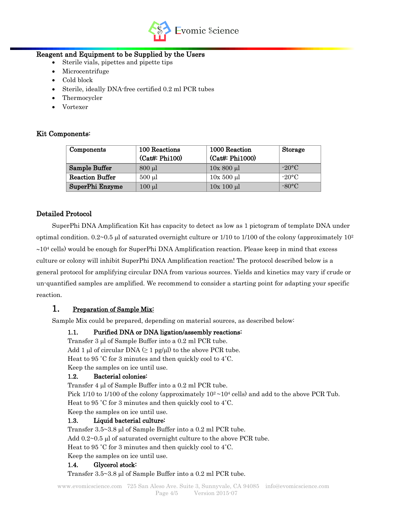

### Reagent and Equipment to be Supplied by the Users

- Sterile vials, pipettes and pipette tips
- Microcentrifuge
- Cold block
- Sterile, ideally DNA-free certified 0.2 ml PCR tubes
- Thermocycler
- Vortexer

### Kit Components:

| Components             | 100 Reactions<br>$(Cat\#: Phi100)$ | 1000 Reaction<br>(Cat#: Phi1000) | Storage         |
|------------------------|------------------------------------|----------------------------------|-----------------|
| Sample Buffer          | $800 \mu l$                        | $10x800 \mu l$                   | $-20$ °C        |
| <b>Reaction Buffer</b> | $500$ $\mu$                        | $10x 500 \mu l$                  | $-20\degree C$  |
| SuperPhi Enzyme        | $100 \mu l$                        | $10x 100 \mu l$                  | $-80^{\circ}$ C |

### Detailed Protocol

SuperPhi DNA Amplification Kit has capacity to detect as low as 1 pictogram of template DNA under optimal condition.  $0.2~0.5$  µl of saturated overnight culture or 1/10 to 1/100 of the colony (approximately  $10<sup>2</sup>$  $\sim$ 10<sup>4</sup> cells) would be enough for SuperPhi DNA Amplification reaction. Please keep in mind that excess culture or colony will inhibit SuperPhi DNA Amplification reaction! The protocol described below is a general protocol for amplifying circular DNA from various sources. Yields and kinetics may vary if crude or un-quantified samples are amplified. We recommend to consider a starting point for adapting your specific reaction.

# 1. Preparation of Sample Mix:

Sample Mix could be prepared, depending on material sources, as described below:

#### 1.1. Purified DNA or DNA ligation/assembly reactions:

Transfer  $3 \mu l$  of Sample Buffer into a 0.2 ml PCR tube. Add 1 µl of circular DNA  $(≥ 1$  pg/µl) to the above PCR tube. Heat to 95 ˚C for 3 minutes and then quickly cool to 4˚C. Keep the samples on ice until use.

#### 1.2. Bacterial colonies:

Transfer  $4 \mu l$  of Sample Buffer into a 0.2 ml PCR tube.

Pick 1/10 to 1/100 of the colony (approximately  $10^2 \sim 10^4$  cells) and add to the above PCR Tub. Heat to 95 ˚C for 3 minutes and then quickly cool to 4˚C.

Keep the samples on ice until use.

#### 1.3. Liquid bacterial culture:

Transfer  $3.5 \sim 3.8$  µl of Sample Buffer into a 0.2 ml PCR tube. Add  $0.2~0.5$  µl of saturated overnight culture to the above PCR tube. Heat to 95 ˚C for 3 minutes and then quickly cool to 4˚C. Keep the samples on ice until use.

#### 1.4. Glycerol stock:

Transfer  $3.5 \sim 3.8$  µl of Sample Buffer into a 0.2 ml PCR tube.